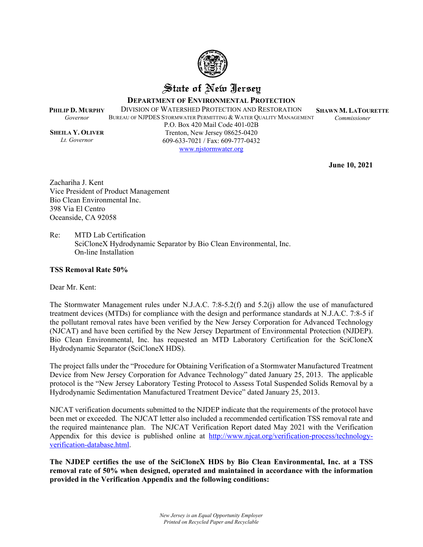

## State of New Jersey

**DEPARTMENT OF ENVIRONMENTAL PROTECTION**

**PHILIP D. MURPHY** DIVISION OF WATERSHED PROTECTION AND RESTORATION

BUREAU OF NJPDES STORMWATER PERMITTING & WATER QUALITY MANAGEMENT

**SHAWN M. LATOURETTE** *Commissioner*

**SHEILA Y. OLIVER** *Lt. Governor*

*Governor*

P.O. Box 420 Mail Code 401-02B Trenton, New Jersey 08625-0420 609-633-7021 / Fax: 609-777-0432 [www.njstormwater.org](file:///C:/Users/gmahon/AppData/Local/Microsoft/Windows/INetCache/Content.Outlook/43HR7D3A/www.njstormwater.org)

**June 10, 2021**

Zachariha J. Kent Vice President of Product Management Bio Clean Environmental Inc. 398 Via El Centro Oceanside, CA 92058

Re: MTD Lab Certification SciCloneX Hydrodynamic Separator by Bio Clean Environmental, Inc. On-line Installation

#### **TSS Removal Rate 50%**

Dear Mr. Kent:

The Stormwater Management rules under N.J.A.C. 7:8-5.2(f) and 5.2(j) allow the use of manufactured treatment devices (MTDs) for compliance with the design and performance standards at N.J.A.C. 7:8-5 if the pollutant removal rates have been verified by the New Jersey Corporation for Advanced Technology (NJCAT) and have been certified by the New Jersey Department of Environmental Protection (NJDEP). Bio Clean Environmental, Inc. has requested an MTD Laboratory Certification for the SciCloneX Hydrodynamic Separator (SciCloneX HDS).

The project falls under the "Procedure for Obtaining Verification of a Stormwater Manufactured Treatment Device from New Jersey Corporation for Advance Technology" dated January 25, 2013. The applicable protocol is the "New Jersey Laboratory Testing Protocol to Assess Total Suspended Solids Removal by a Hydrodynamic Sedimentation Manufactured Treatment Device" dated January 25, 2013.

NJCAT verification documents submitted to the NJDEP indicate that the requirements of the protocol have been met or exceeded. The NJCAT letter also included a recommended certification TSS removal rate and the required maintenance plan. The NJCAT Verification Report dated May 2021 with the Verification Appendix for this device is published online at [http://www.njcat.org/verification-process/technology](http://www.njcat.org/verification-process/technology-verification-database.html)[verification-database.html](http://www.njcat.org/verification-process/technology-verification-database.html).

**The NJDEP certifies the use of the SciCloneX HDS by Bio Clean Environmental, Inc. at a TSS removal rate of 50% when designed, operated and maintained in accordance with the information provided in the Verification Appendix and the following conditions:**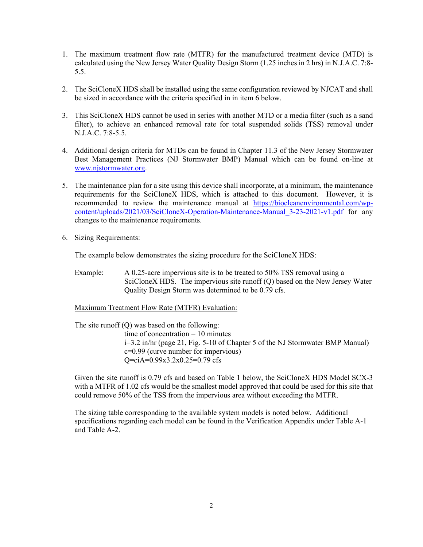- 1. The maximum treatment flow rate (MTFR) for the manufactured treatment device (MTD) is calculated using the New Jersey Water Quality Design Storm (1.25 inches in 2 hrs) in N.J.A.C. 7:8- 5.5.
- 2. The SciCloneX HDS shall be installed using the same configuration reviewed by NJCAT and shall be sized in accordance with the criteria specified in in item 6 below.
- 3. This SciCloneX HDS cannot be used in series with another MTD or a media filter (such as a sand filter), to achieve an enhanced removal rate for total suspended solids (TSS) removal under N.J.A.C. 7:8-5.5.
- 4. Additional design criteria for MTDs can be found in Chapter 11.3 of the New Jersey Stormwater Best Management Practices (NJ Stormwater BMP) Manual which can be found on-line at [www.njstormwater.org](http://www.njstormwater.org/).
- 5. The maintenance plan for a site using this device shall incorporate, at a minimum, the maintenance requirements for the SciCloneX HDS, which is attached to this document. However, it is recommended to review the maintenance manual at [https://biocleanenvironmental.com/wp](https://biocleanenvironmental.com/wp-content/uploads/2021/03/SciCloneX-Operation-Maintenance-Manual_3-23-2021-v1.pdf)[content/uploads/2021/03/SciCloneX-Operation-Maintenance-Manual\\_3-23-2021-v1.pdf](https://biocleanenvironmental.com/wp-content/uploads/2021/03/SciCloneX-Operation-Maintenance-Manual_3-23-2021-v1.pdf) for any changes to the maintenance requirements.
- 6. Sizing Requirements:

The example below demonstrates the sizing procedure for the SciCloneX HDS:

Example: A 0.25-acre impervious site is to be treated to 50% TSS removal using a SciCloneX HDS. The impervious site runoff (Q) based on the New Jersey Water Quality Design Storm was determined to be 0.79 cfs.

Maximum Treatment Flow Rate (MTFR) Evaluation:

The site runoff  $(Q)$  was based on the following: time of concentration  $= 10$  minutes i=3.2 in/hr (page 21, Fig. 5-10 of Chapter 5 of the NJ Stormwater BMP Manual) c=0.99 (curve number for impervious) Q=ciA=0.99x3.2x0.25=0.79 cfs

Given the site runoff is 0.79 cfs and based on Table 1 below, the SciCloneX HDS Model SCX-3 with a MTFR of 1.02 cfs would be the smallest model approved that could be used for this site that could remove 50% of the TSS from the impervious area without exceeding the MTFR.

The sizing table corresponding to the available system models is noted below. Additional specifications regarding each model can be found in the Verification Appendix under Table A-1 and Table A-2.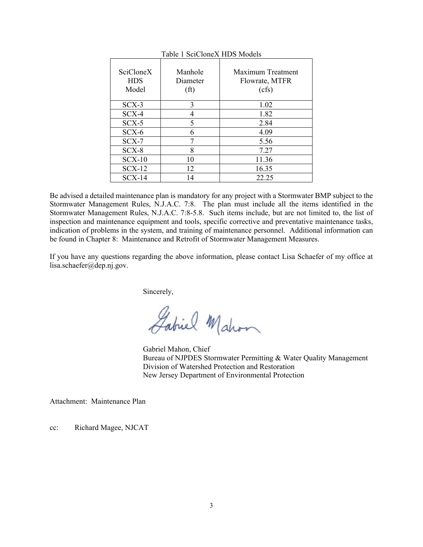| SciCloneX<br><b>HDS</b><br>Model | Manhole<br>Diameter<br>(f <sup>t</sup> ) | Maximum Treatment<br>Flowrate, MTFR<br>(cfs) |
|----------------------------------|------------------------------------------|----------------------------------------------|
| $SCX-3$                          | 3                                        | 1.02                                         |
| $SCX-4$                          | 4                                        | 1.82                                         |
| $SCX-5$                          | 5                                        | 2.84                                         |
| $SCX-6$                          | 6                                        | 4.09                                         |
| $SCX-7$                          |                                          | 5.56                                         |
| $SCX-8$                          | 8                                        | 7.27                                         |
| $SCX-10$                         | 10                                       | 11.36                                        |
| $SCX-12$                         | 12                                       | 16.35                                        |
| $SCX-14$                         | 14                                       | 22.25                                        |

Table 1 SciCloneX HDS Models

Be advised a detailed maintenance plan is mandatory for any project with a Stormwater BMP subject to the Stormwater Management Rules, N.J.A.C. 7:8. The plan must include all the items identified in the Stormwater Management Rules, N.J.A.C. 7:8-5.8. Such items include, but are not limited to, the list of inspection and maintenance equipment and tools, specific corrective and preventative maintenance tasks, indication of problems in the system, and training of maintenance personnel. Additional information can be found in Chapter 8: Maintenance and Retrofit of Stormwater Management Measures.

If you have any questions regarding the above information, please contact Lisa Schaefer of my office at lisa.schaefer@dep.nj.gov.

Sincerely,

Gabriel Mahon

Gabriel Mahon, Chief Bureau of NJPDES Stormwater Permitting & Water Quality Management Division of Watershed Protection and Restoration New Jersey Department of Environmental Protection

Attachment: Maintenance Plan

cc: Richard Magee, NJCAT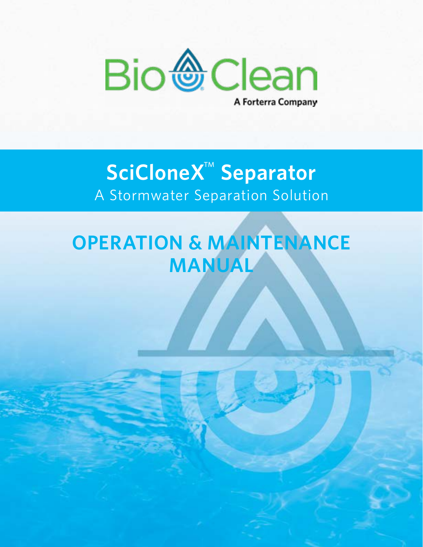

## **SciCloneX**™ **Separator** A Stormwater Separation Solution

# **OPERATION & MAINTENANCE MANUAL**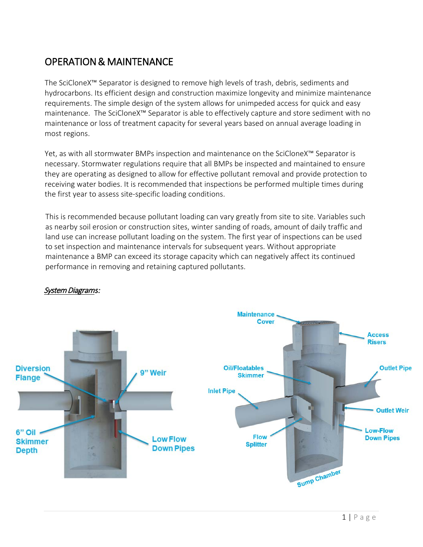## OPERATION & MAINTENANCE

The SciCloneX™ Separator is designed to remove high levels of trash, debris, sediments and hydrocarbons. Its efficient design and construction maximize longevity and minimize maintenance requirements. The simple design of the system allows for unimpeded access for quick and easy maintenance. The SciCloneX™ Separator is able to effectively capture and store sediment with no maintenance or loss of treatment capacity for several years based on annual average loading in most regions.

Yet, as with all stormwater BMPs inspection and maintenance on the SciCloneX™ Separator is necessary. Stormwater regulations require that all BMPs be inspected and maintained to ensure they are operating as designed to allow for effective pollutant removal and provide protection to receiving water bodies. It is recommended that inspections be performed multiple times during the first year to assess site-specific loading conditions.

This is recommended because pollutant loading can vary greatly from site to site. Variables such as nearby soil erosion or construction sites, winter sanding of roads, amount of daily traffic and land use can increase pollutant loading on the system. The first year of inspections can be used to set inspection and maintenance intervals for subsequent years. Without appropriate maintenance a BMP can exceed its storage capacity which can negatively affect its continued performance in removing and retaining captured pollutants.



#### System Diagram*s:*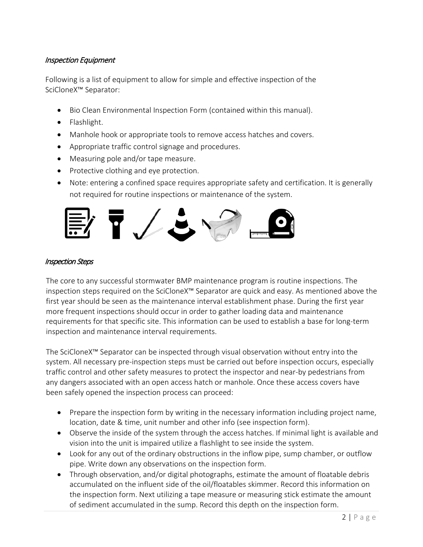#### Inspection Equipment

Following is a list of equipment to allow for simple and effective inspection of the SciCloneX™ Separator:

- Bio Clean Environmental Inspection Form (contained within this manual).
- Flashlight.
- Manhole hook or appropriate tools to remove access hatches and covers.
- Appropriate traffic control signage and procedures.
- Measuring pole and/or tape measure.
- Protective clothing and eye protection.
- Note: entering a confined space requires appropriate safety and certification. It is generally not required for routine inspections or maintenance of the system.



#### Inspection Steps

The core to any successful stormwater BMP maintenance program is routine inspections. The inspection steps required on the SciCloneX™ Separator are quick and easy. As mentioned above the first year should be seen as the maintenance interval establishment phase. During the first year more frequent inspections should occur in order to gather loading data and maintenance requirements for that specific site. This information can be used to establish a base for long-term inspection and maintenance interval requirements.

The SciCloneX™ Separator can be inspected through visual observation without entry into the system. All necessary pre-inspection steps must be carried out before inspection occurs, especially traffic control and other safety measures to protect the inspector and near-by pedestrians from any dangers associated with an open access hatch or manhole. Once these access covers have been safely opened the inspection process can proceed:

- Prepare the inspection form by writing in the necessary information including project name, location, date & time, unit number and other info (see inspection form).
- Observe the inside of the system through the access hatches. If minimal light is available and vision into the unit is impaired utilize a flashlight to see inside the system.
- Look for any out of the ordinary obstructions in the inflow pipe, sump chamber, or outflow pipe. Write down any observations on the inspection form.
- Through observation, and/or digital photographs, estimate the amount of floatable debris accumulated on the influent side of the oil/floatables skimmer. Record this information on the inspection form. Next utilizing a tape measure or measuring stick estimate the amount of sediment accumulated in the sump. Record this depth on the inspection form.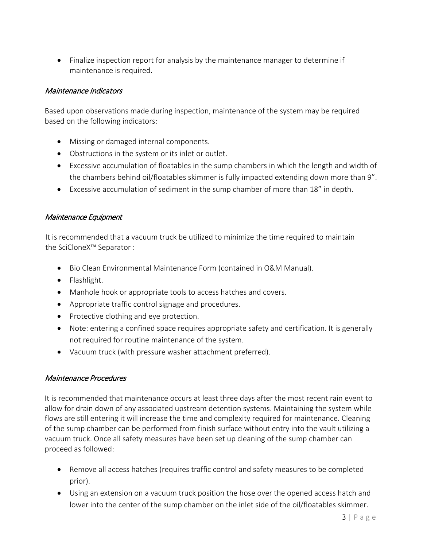• Finalize inspection report for analysis by the maintenance manager to determine if maintenance is required.

#### Maintenance Indicators

Based upon observations made during inspection, maintenance of the system may be required based on the following indicators:

- Missing or damaged internal components.
- Obstructions in the system or its inlet or outlet.
- Excessive accumulation of floatables in the sump chambers in which the length and width of the chambers behind oil/floatables skimmer is fully impacted extending down more than 9".
- Excessive accumulation of sediment in the sump chamber of more than 18" in depth.

#### Maintenance Equipment

It is recommended that a vacuum truck be utilized to minimize the time required to maintain the SciCloneX™ Separator :

- Bio Clean Environmental Maintenance Form (contained in O&M Manual).
- Flashlight.
- Manhole hook or appropriate tools to access hatches and covers.
- Appropriate traffic control signage and procedures.
- Protective clothing and eye protection.
- Note: entering a confined space requires appropriate safety and certification. It is generally not required for routine maintenance of the system.
- Vacuum truck (with pressure washer attachment preferred).

#### Maintenance Procedures

It is recommended that maintenance occurs at least three days after the most recent rain event to allow for drain down of any associated upstream detention systems. Maintaining the system while flows are still entering it will increase the time and complexity required for maintenance. Cleaning of the sump chamber can be performed from finish surface without entry into the vault utilizing a vacuum truck. Once all safety measures have been set up cleaning of the sump chamber can proceed as followed:

- Remove all access hatches (requires traffic control and safety measures to be completed prior).
- Using an extension on a vacuum truck position the hose over the opened access hatch and lower into the center of the sump chamber on the inlet side of the oil/floatables skimmer.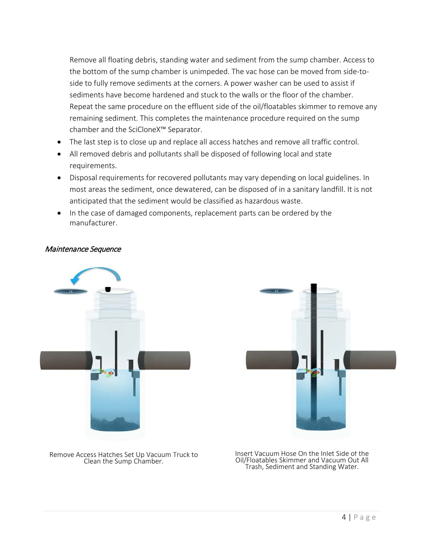Remove all floating debris, standing water and sediment from the sump chamber. Access to the bottom of the sump chamber is unimpeded. The vac hose can be moved from side-toside to fully remove sediments at the corners. A power washer can be used to assist if sediments have become hardened and stuck to the walls or the floor of the chamber. Repeat the same procedure on the effluent side of the oil/floatables skimmer to remove any remaining sediment. This completes the maintenance procedure required on the sump chamber and the SciCloneX™ Separator.

- The last step is to close up and replace all access hatches and remove all traffic control.
- All removed debris and pollutants shall be disposed of following local and state requirements.
- Disposal requirements for recovered pollutants may vary depending on local guidelines. In most areas the sediment, once dewatered, can be disposed of in a sanitary landfill. It is not anticipated that the sediment would be classified as hazardous waste.
- In the case of damaged components, replacement parts can be ordered by the manufacturer.

#### Maintenance Sequence





Remove Access Hatches Set Up Vacuum Truck to

cess Hatches Set Up Vacuum Truck to Filmsert Vacuum Hose On the Inlet Side of the<br>Clean the Sump Chamber. The Clean of Coll Clean of Vacuum Out All Trash, Sediment and Standing Water.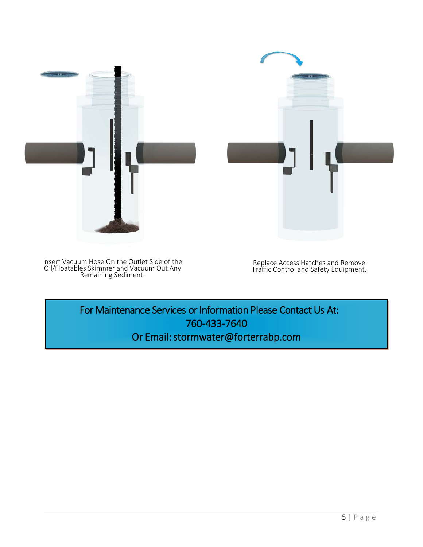

Insert Vacuum Hose On the Outlet Side of the Oil/Floatables Skimmer and Vacuum Out Any Remaining Sediment.

Replace Access Hatches and Remove Traffic Control and Safety Equipment.

For Maintenance Services or Information Please Contact Us At: 760-433-7640 Or Email: stormwater@forterrabp.com